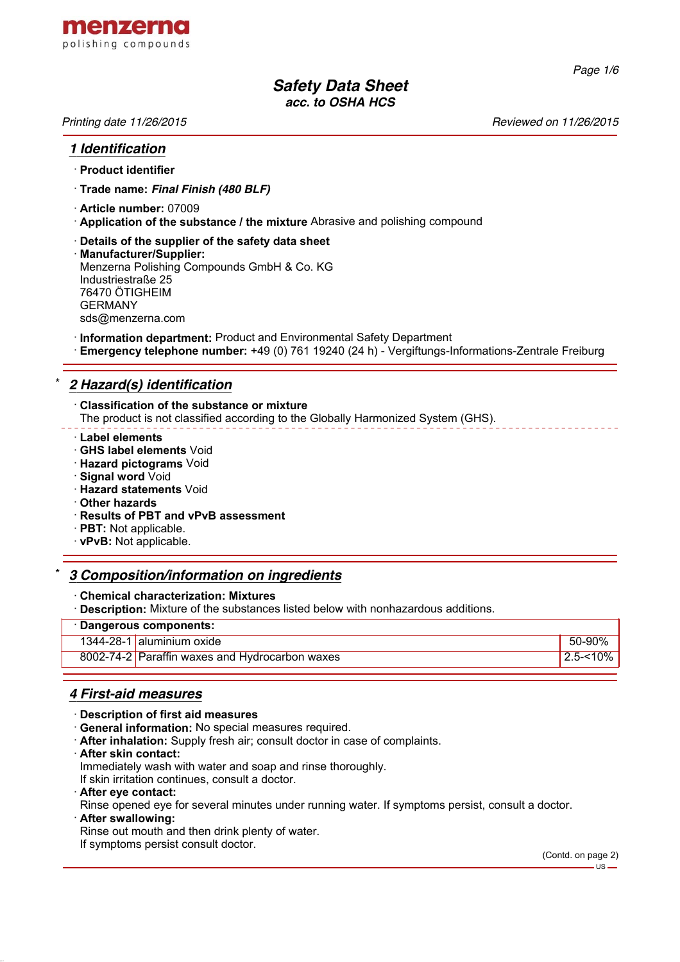

*Page 1/6*

# *Safety Data Sheet acc. to OSHA HCS*

*Printing date 11/26/2015 Reviewed on 11/26/2015*

#### *1 Identification*

#### · **Product identifier**

- · **Trade name:** *Final Finish (480 BLF)*
- · **Article number:** 07009
- · **Application of the substance / the mixture** Abrasive and polishing compound
- · **Details of the supplier of the safety data sheet**
- · **Manufacturer/Supplier:** Menzerna Polishing Compounds GmbH & Co. KG Industriestraße 25 76470 ÖTIGHEIM GERMANY sds@menzerna.com
- · **Information department:** Product and Environmental Safety Department
- · **Emergency telephone number:** +49 (0) 761 19240 (24 h) Vergiftungs-Informations-Zentrale Freiburg

## \* *2 Hazard(s) identification*

- · **Classification of the substance or mixture**
- The product is not classified according to the Globally Harmonized System (GHS).
- · **Label elements**
- · **GHS label elements** Void
- · **Hazard pictograms** Void
- · **Signal word** Void
- · **Hazard statements** Void
- · **Other hazards**
- · **Results of PBT and vPvB assessment**
- · **PBT:** Not applicable.
- · **vPvB:** Not applicable.

#### \* *3 Composition/information on ingredients*

#### · **Chemical characterization: Mixtures**

**Description:** Mixture of the substances listed below with nonhazardous additions.

#### · **Dangerous components:**

|  | 1344-28-1 aluminium oxide                      |          |
|--|------------------------------------------------|----------|
|  | 8002-74-2 Paraffin waxes and Hydrocarbon waxes | 2.5-<10% |
|  |                                                |          |

## *4 First-aid measures*

- · **Description of first aid measures**
- · **General information:** No special measures required.
- · **After inhalation:** Supply fresh air; consult doctor in case of complaints.
- · **After skin contact:**

Immediately wash with water and soap and rinse thoroughly.

- If skin irritation continues, consult a doctor.
- · **After eye contact:**
- Rinse opened eye for several minutes under running water. If symptoms persist, consult a doctor.
- · **After swallowing:**
- Rinse out mouth and then drink plenty of water.
- If symptoms persist consult doctor.

(Contd. on page 2) - us -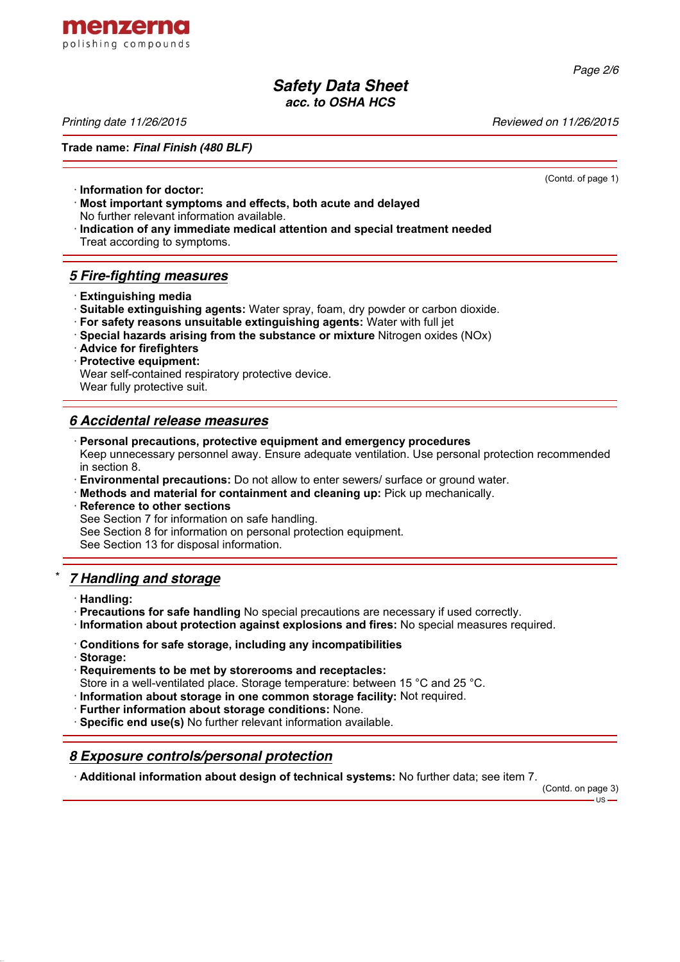

*Page 2/6*

## *Safety Data Sheet acc. to OSHA HCS*

*Printing date 11/26/2015 Reviewed on 11/26/2015*

**Trade name:** *Final Finish (480 BLF)*

(Contd. of page 1)

- · **Information for doctor:** · **Most important symptoms and effects, both acute and delayed**
- No further relevant information available.
- · **Indication of any immediate medical attention and special treatment needed** Treat according to symptoms.

# *5 Fire-fighting measures*

- · **Extinguishing media**
- · **Suitable extinguishing agents:** Water spray, foam, dry powder or carbon dioxide.
- · **For safety reasons unsuitable extinguishing agents:** Water with full jet
- · **Special hazards arising from the substance or mixture** Nitrogen oxides (NOx)

· **Advice for firefighters**

· **Protective equipment:** Wear self-contained respiratory protective device. Wear fully protective suit.

# *6 Accidental release measures*

- · **Personal precautions, protective equipment and emergency procedures** Keep unnecessary personnel away. Ensure adequate ventilation. Use personal protection recommended in section 8.
- · **Environmental precautions:** Do not allow to enter sewers/ surface or ground water.
- · **Methods and material for containment and cleaning up:** Pick up mechanically.
- **Reference to other sections** See Section 7 for information on safe handling. See Section 8 for information on personal protection equipment. See Section 13 for disposal information.

# \* *7 Handling and storage*

- · **Handling:**
- · **Precautions for safe handling** No special precautions are necessary if used correctly.
- · **Information about protection against explosions and fires:** No special measures required.
- · **Conditions for safe storage, including any incompatibilities**
- · **Storage:**
- · **Requirements to be met by storerooms and receptacles:**
- Store in a well-ventilated place. Storage temperature: between 15 °C and 25 °C.
- · **Information about storage in one common storage facility:** Not required.
- · **Further information about storage conditions:** None.
- · **Specific end use(s)** No further relevant information available.

# *8 Exposure controls/personal protection*

· **Additional information about design of technical systems:** No further data; see item 7.

(Contd. on page 3)

 $-11S -$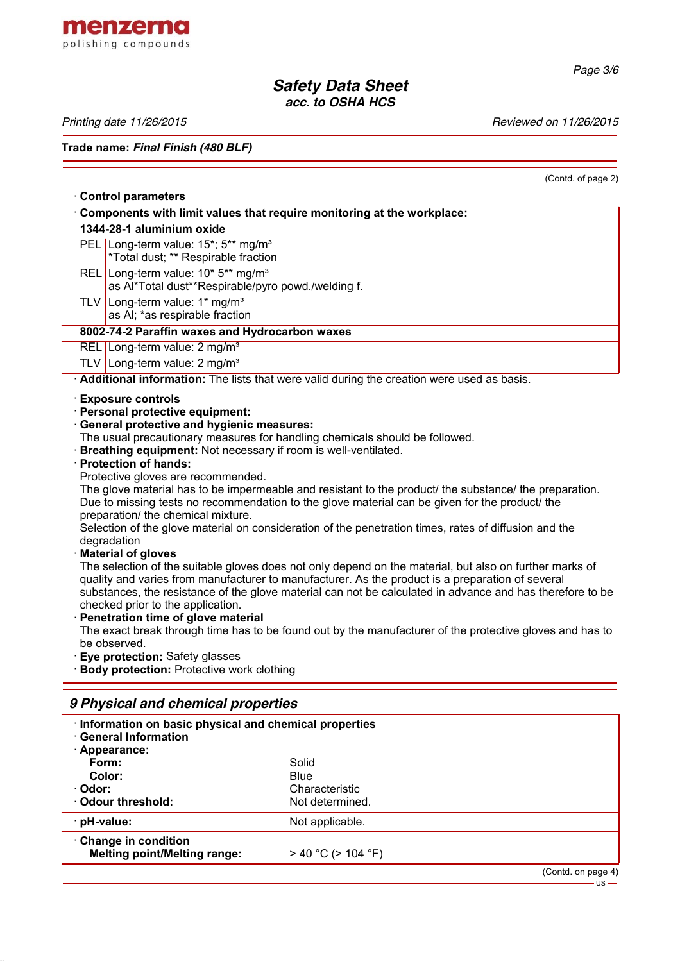

*Page 3/6*

# *Safety Data Sheet acc. to OSHA HCS*

*Printing date 11/26/2015 Reviewed on 11/26/2015*

**Trade name:** *Final Finish (480 BLF)*

## · **Control parameters**

(Contd. of page 2)

|                                                                                                                                                                                                                                                                                                                                                                                                                                                                                                                                                                                                                                                                                                                                  | Components with limit values that require monitoring at the workplace:                                                                                                                                                                                                                                                                                        |  |  |  |  |
|----------------------------------------------------------------------------------------------------------------------------------------------------------------------------------------------------------------------------------------------------------------------------------------------------------------------------------------------------------------------------------------------------------------------------------------------------------------------------------------------------------------------------------------------------------------------------------------------------------------------------------------------------------------------------------------------------------------------------------|---------------------------------------------------------------------------------------------------------------------------------------------------------------------------------------------------------------------------------------------------------------------------------------------------------------------------------------------------------------|--|--|--|--|
|                                                                                                                                                                                                                                                                                                                                                                                                                                                                                                                                                                                                                                                                                                                                  | 1344-28-1 aluminium oxide                                                                                                                                                                                                                                                                                                                                     |  |  |  |  |
|                                                                                                                                                                                                                                                                                                                                                                                                                                                                                                                                                                                                                                                                                                                                  | PEL Long-term value: 15*; 5** mg/m <sup>3</sup><br>*Total dust; ** Respirable fraction                                                                                                                                                                                                                                                                        |  |  |  |  |
|                                                                                                                                                                                                                                                                                                                                                                                                                                                                                                                                                                                                                                                                                                                                  | REL Long-term value: 10* 5** mg/m <sup>3</sup><br>as Al*Total dust**Respirable/pyro powd./welding f.                                                                                                                                                                                                                                                          |  |  |  |  |
|                                                                                                                                                                                                                                                                                                                                                                                                                                                                                                                                                                                                                                                                                                                                  | TLV   Long-term value: 1* mg/m <sup>3</sup><br>as AI; *as respirable fraction                                                                                                                                                                                                                                                                                 |  |  |  |  |
|                                                                                                                                                                                                                                                                                                                                                                                                                                                                                                                                                                                                                                                                                                                                  | 8002-74-2 Paraffin waxes and Hydrocarbon waxes                                                                                                                                                                                                                                                                                                                |  |  |  |  |
|                                                                                                                                                                                                                                                                                                                                                                                                                                                                                                                                                                                                                                                                                                                                  | REL Long-term value: 2 mg/m <sup>3</sup>                                                                                                                                                                                                                                                                                                                      |  |  |  |  |
|                                                                                                                                                                                                                                                                                                                                                                                                                                                                                                                                                                                                                                                                                                                                  | TLV Long-term value: $2 \text{ mg/m}^3$                                                                                                                                                                                                                                                                                                                       |  |  |  |  |
|                                                                                                                                                                                                                                                                                                                                                                                                                                                                                                                                                                                                                                                                                                                                  | Additional information: The lists that were valid during the creation were used as basis.                                                                                                                                                                                                                                                                     |  |  |  |  |
| · Exposure controls<br>· Personal protective equipment:<br><b>General protective and hygienic measures:</b><br>The usual precautionary measures for handling chemicals should be followed.<br>· Breathing equipment: Not necessary if room is well-ventilated.<br>· Protection of hands:<br>Protective gloves are recommended.<br>The glove material has to be impermeable and resistant to the product/ the substance/ the preparation.<br>Due to missing tests no recommendation to the glove material can be given for the product/ the<br>preparation/ the chemical mixture.<br>Selection of the glove material on consideration of the penetration times, rates of diffusion and the<br>degradation<br>· Material of gloves |                                                                                                                                                                                                                                                                                                                                                               |  |  |  |  |
|                                                                                                                                                                                                                                                                                                                                                                                                                                                                                                                                                                                                                                                                                                                                  | The selection of the suitable gloves does not only depend on the material, but also on further marks of<br>quality and varies from manufacturer to manufacturer. As the product is a preparation of several<br>substances, the resistance of the glove material can not be calculated in advance and has therefore to be<br>checked prior to the application. |  |  |  |  |

· **Penetration time of glove material**

The exact break through time has to be found out by the manufacturer of the protective gloves and has to be observed.

· **Eye protection:** Safety glasses

· **Body protection:** Protective work clothing

## *9 Physical and chemical properties*

| <b>General Information</b><br>· Appearance:                | · Information on basic physical and chemical properties |  |  |
|------------------------------------------------------------|---------------------------------------------------------|--|--|
| Form:                                                      | Solid                                                   |  |  |
| Color:                                                     | <b>Blue</b>                                             |  |  |
| · Odor:                                                    | Characteristic                                          |  |  |
| Odour threshold:                                           | Not determined.                                         |  |  |
| · pH-value:                                                | Not applicable.                                         |  |  |
| Change in condition<br><b>Melting point/Melting range:</b> | $>$ 40 °C ( $>$ 104 °F)                                 |  |  |
|                                                            |                                                         |  |  |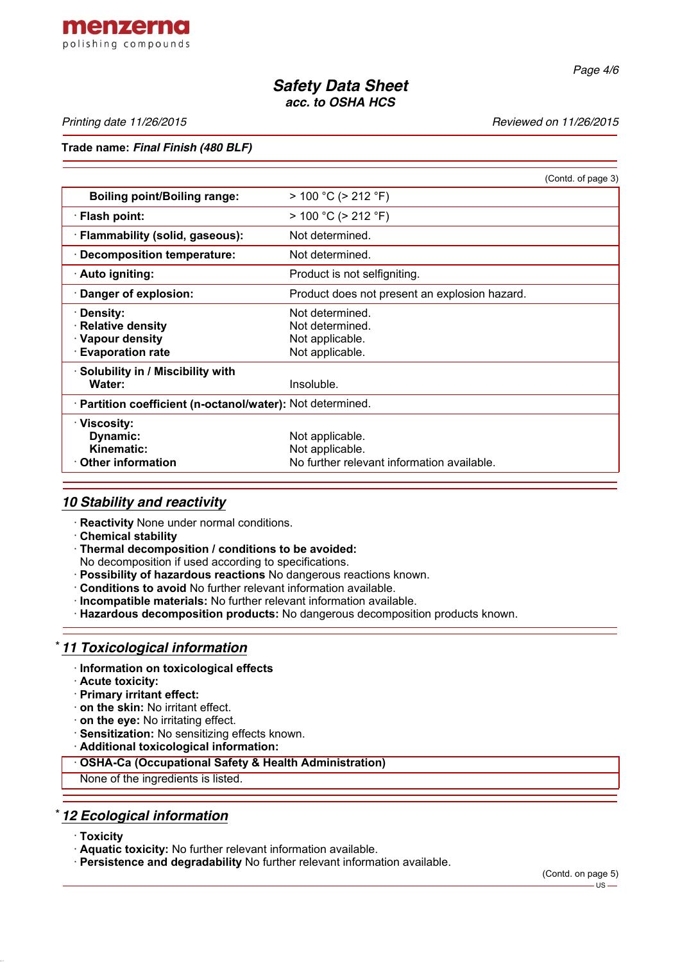

*Page 4/6*

# *Safety Data Sheet acc. to OSHA HCS*

*Printing date 11/26/2015 Reviewed on 11/26/2015*

#### **Trade name:** *Final Finish (480 BLF)*

|                                                                                      | (Contd. of page 3)                                                               |  |
|--------------------------------------------------------------------------------------|----------------------------------------------------------------------------------|--|
| <b>Boiling point/Boiling range:</b>                                                  | $> 100 °C$ ( $> 212 °F$ )                                                        |  |
| · Flash point:                                                                       | $> 100 °C$ ( $> 212 °F$ )                                                        |  |
| · Flammability (solid, gaseous):                                                     | Not determined.                                                                  |  |
| <b>Decomposition temperature:</b>                                                    | Not determined.                                                                  |  |
| · Auto igniting:                                                                     | Product is not selfigniting.                                                     |  |
| Danger of explosion:                                                                 | Product does not present an explosion hazard.                                    |  |
| <b>Density:</b><br>· Relative density<br>· Vapour density<br><b>Evaporation rate</b> | Not determined.<br>Not determined.<br>Not applicable.<br>Not applicable.         |  |
| Solubility in / Miscibility with<br>Water:                                           | Insoluble.                                                                       |  |
| · Partition coefficient (n-octanol/water): Not determined.                           |                                                                                  |  |
| · Viscosity:<br>Dynamic:<br>Kinematic:<br>$\cdot$ Other information                  | Not applicable.<br>Not applicable.<br>No further relevant information available. |  |

## *10 Stability and reactivity*

- · **Reactivity** None under normal conditions.
- · **Chemical stability**
- · **Thermal decomposition / conditions to be avoided:**
- No decomposition if used according to specifications.
- · **Possibility of hazardous reactions** No dangerous reactions known.
- · **Conditions to avoid** No further relevant information available.
- · **Incompatible materials:** No further relevant information available.
- · **Hazardous decomposition products:** No dangerous decomposition products known.

## \* *11 Toxicological information*

- · **Information on toxicological effects**
- · **Acute toxicity:**
- · **Primary irritant effect:**
- · **on the skin:** No irritant effect.
- · **on the eye:** No irritating effect.
- · **Sensitization:** No sensitizing effects known.
- · **Additional toxicological information:**

#### · **OSHA-Ca (Occupational Safety & Health Administration)**

None of the ingredients is listed.

## \* *12 Ecological information*

- · **Toxicity**
- · **Aquatic toxicity:** No further relevant information available.
- · **Persistence and degradability** No further relevant information available.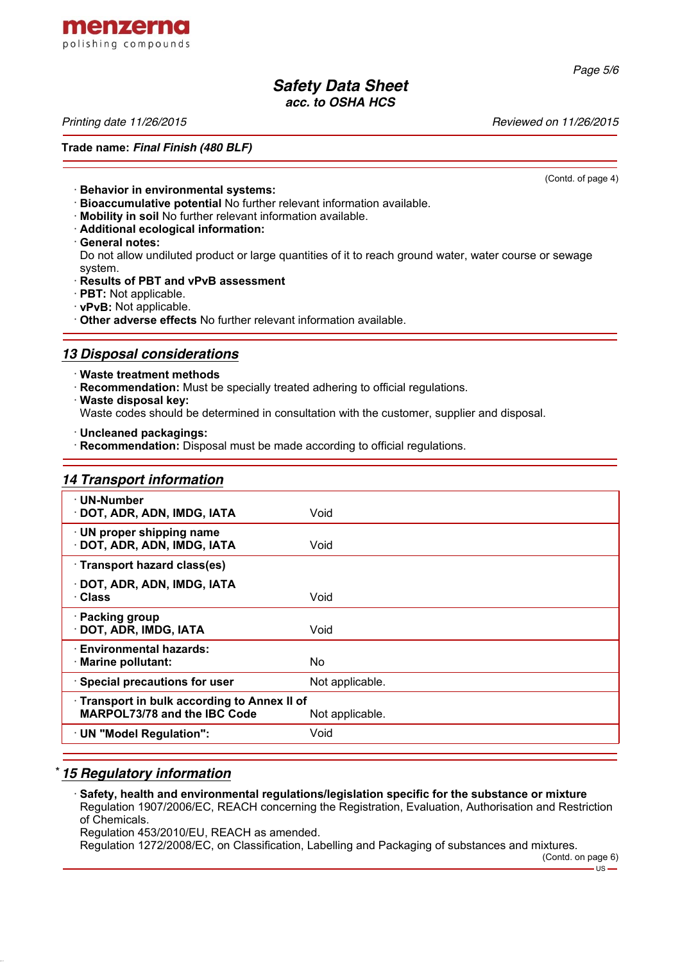

### *Safety Data Sheet acc. to OSHA HCS*

**Trade name:** *Final Finish (480 BLF)*

*Printing date 11/26/2015 Reviewed on 11/26/2015*

(Contd. of page 4)

- · **Behavior in environmental systems:**
- · **Bioaccumulative potential** No further relevant information available.
- · **Mobility in soil** No further relevant information available.
- · **Additional ecological information:**
- · **General notes:**

Do not allow undiluted product or large quantities of it to reach ground water, water course or sewage system.

- · **Results of PBT and vPvB assessment**
- · **PBT:** Not applicable.
- · **vPvB:** Not applicable.
- · **Other adverse effects** No further relevant information available.

## *13 Disposal considerations*

- · **Waste treatment methods**
- · **Recommendation:** Must be specially treated adhering to official regulations.
- · **Waste disposal key:** Waste codes should be determined in consultation with the customer, supplier and disposal.
- · **Uncleaned packagings:**
- **Recommendation:** Disposal must be made according to official regulations.

#### *14 Transport information*

| · UN-Number<br>· DOT, ADR, ADN, IMDG, IATA                                                           | Void            |  |  |
|------------------------------------------------------------------------------------------------------|-----------------|--|--|
| · UN proper shipping name<br>· DOT, ADR, ADN, IMDG, IATA                                             | Void            |  |  |
| · Transport hazard class(es)                                                                         |                 |  |  |
| · DOT, ADR, ADN, IMDG, IATA<br>· Class                                                               | Void            |  |  |
| · Packing group<br>· DOT, ADR, IMDG, IATA                                                            | Void            |  |  |
| · Environmental hazards:<br>· Marine pollutant:                                                      | No.             |  |  |
| · Special precautions for user                                                                       | Not applicable. |  |  |
| Transport in bulk according to Annex II of<br><b>MARPOL73/78 and the IBC Code</b><br>Not applicable. |                 |  |  |
| · UN "Model Regulation":                                                                             | Void            |  |  |
|                                                                                                      |                 |  |  |

## \* *15 Regulatory information*

· **Safety, health and environmental regulations/legislation specific for the substance or mixture** Regulation 1907/2006/EC, REACH concerning the Registration, Evaluation, Authorisation and Restriction of Chemicals.

Regulation 453/2010/EU, REACH as amended.

Regulation 1272/2008/EC, on Classification, Labelling and Packaging of substances and mixtures.

#### *Page 5/6*